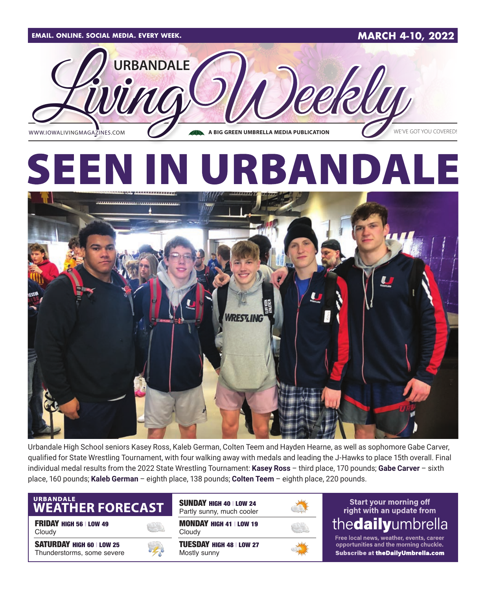

Urbandale High School seniors Kasey Ross, Kaleb German, Colten Teem and Hayden Hearne, as well as sophomore Gabe Carver, qualified for State Wrestling Tournament, with four walking away with medals and leading the J-Hawks to place 15th overall. Final individual medal results from the 2022 State Wrestling Tournament: **Kasey Ross** – third place, 170 pounds; **Gabe Carver** – sixth place, 160 pounds; **Kaleb German** – eighth place, 138 pounds; **Colten Teem** – eighth place, 220 pounds.

## URBANDALE<br>WEATHER FORECAST

FRIDAY HIGH 56 | LOW 49 Cloudy

SATURDAY HIGH 60 | LOW 25 Thunderstorms, some severe



MONDAY HIGH 41 | LOW 19 **Cloudy** TUESDAY HIGH 48 | LOW 27 SUNDAY HIGH 40 | LOW 24 Partly sunny, much cooler

Mostly sunny



#### **Start your morning off** right with an update from thedailyumbrella

Free local news, weather, events, career opportunities and the morning chuckle. Subscribe at theDailyUmbrella.com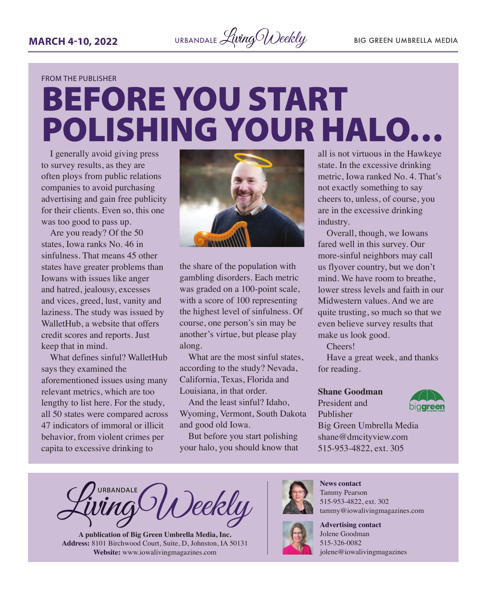

#### FROM THE PUBLISHER

# BEFORE YOU START POLISHING YOUR HALO…

I generally avoid giving press to survey results, as they are often ploys from public relations companies to avoid purchasing advertising and gain free publicity for their clients. Even so, this one was too good to pass up.

Are you ready? Of the 50 states, Iowa ranks No. 46 in sinfulness. That means 45 other states have greater problems than Iowans with issues like anger and hatred, jealousy, excesses and vices, greed, lust, vanity and laziness. The study was issued by WalletHub, a website that offers credit scores and reports. Just keep that in mind.

What defines sinful? WalletHub says they examined the aforementioned issues using many relevant metrics, which are too lengthy to list here. For the study, all 50 states were compared across 47 indicators of immoral or illicit behavior, from violent crimes per capita to excessive drinking to



the share of the population with gambling disorders. Each metric was graded on a 100-point scale, with a score of 100 representing the highest level of sinfulness. Of course, one person's sin may be another's virtue, but please play along.

What are the most sinful states, according to the study? Nevada, California, Texas, Florida and Louisiana, in that order.

And the least sinful? Idaho, Wyoming, Vermont, South Dakota and good old Iowa.

But before you start polishing your halo, you should know that

all is not virtuous in the Hawkeye state. In the excessive drinking metric, Iowa ranked No. 4. That's not exactly something to say cheers to, unless, of course, you are in the excessive drinking industry.

Overall, though, we Iowans fared well in this survey. Our more-sinful neighbors may call us flyover country, but we don't mind. We have room to breathe, lower stress levels and faith in our Midwestern values. And we are quite trusting, so much so that we even believe survey results that make us look good.

Cheers!

Have a great week, and thanks for reading.

#### **Shane Goodman**

President and Publisher



Big Green Umbrella Media shane@dmcityview.com 515-953-4822, ext. 305

**URBANDALE** Weekly

**A publication of Big Green Umbrella Media, Inc. Address:** 8101 Birchwood Court, Suite, D, Johnston, IA 50131 **Website:** [www.iowalivingmagazines.com](http://www.iowalivingmagazines.com)



**News contact** Tammy Pearson 515-953-4822, ext. 302 [tammy@iowalivingmagazines.com](mailto:tammy@iowalivingmagazines.com)

**Advertising contact** Jolene Goodman 515-326-0082 jolene@iowalivingmagazines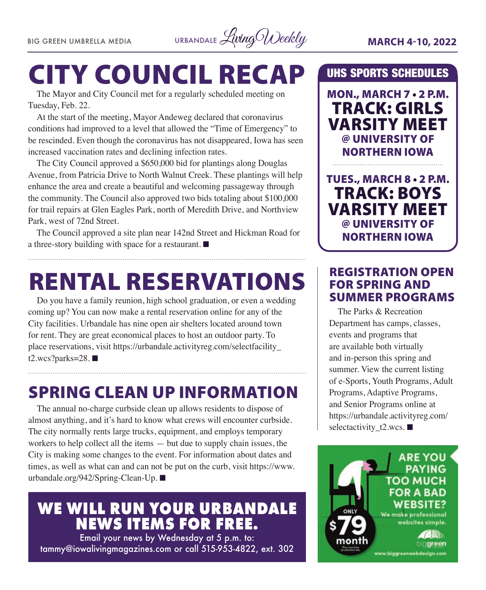

# CITY COUNCIL RECAP

The Mayor and City Council met for a regularly scheduled meeting on Tuesday, Feb. 22.

At the start of the meeting, Mayor Andeweg declared that coronavirus conditions had improved to a level that allowed the "Time of Emergency" to be rescinded. Even though the coronavirus has not disappeared, Iowa has seen increased vaccination rates and declining infection rates.

The City Council approved a \$650,000 bid for plantings along Douglas Avenue, from Patricia Drive to North Walnut Creek. These plantings will help enhance the area and create a beautiful and welcoming passageway through the community. The Council also approved two bids totaling about \$100,000 for trail repairs at Glen Eagles Park, north of Meredith Drive, and Northview Park, west of 72nd Street.

The Council approved a site plan near 142nd Street and Hickman Road for a three-story building with space for a restaurant.  $\blacksquare$ 

## RENTAL RESERVATIONS

Do you have a family reunion, high school graduation, or even a wedding coming up? You can now make a rental reservation online for any of the City facilities. Urbandale has nine open air shelters located around town for rent. They are great economical places to host an outdoor party. To place reservations, visit [https://urbandale.activityreg.com/selectfacility\\_](https://urbandale.activityreg.com/selectfacility_t2.wcs?parks=28) [t2.wcs?parks=28.](https://urbandale.activityreg.com/selectfacility_t2.wcs?parks=28) $\blacksquare$ 

### SPRING CLEAN UP INFORMATION

The annual no-charge curbside clean up allows residents to dispose of almost anything, and it's hard to know what crews will encounter curbside. The city normally rents large trucks, equipment, and employs temporary workers to help collect all the items — but due to supply chain issues, the City is making some changes to the event. For information about dates and times, as well as what can and can not be put on the curb, visit [https://www.](https://www.urbandale.org/942/Spring-Clean-Up) [urbandale.org/942/Spring-Clean-Up](https://www.urbandale.org/942/Spring-Clean-Up). ■

### **WE WILL RUN YOUR URBANDALE NEWS ITEMS FOR FREE.**

Email your news by Wednesday at 5 p.m. to: [tammy@iowalivingmagazines.com](mailto:tammy@iowalivingmagazines.com) or call 515-953-4822, ext. 302

#### UHS SPORTS SCHEDULES

MON., MARCH 7 • 2 P.M. TRACK: GIRLS VARSITY MEET @ UNIVERSITY OF NORTHERN IOWA

TUES., MARCH 8 • 2 P.M. TRACK: BOYS VARSITY MEET @ UNIVERSITY OF NORTHERN IOWA

#### REGISTRATION OPEN FOR SPRING AND SUMMER PROGRAMS

The Parks & Recreation Department has camps, classes, events and programs that are available both virtually and in-person this spring and summer. View the current listing of e-Sports, Youth Programs, Adult Programs, Adaptive Programs, and Senior Programs online at [https://urbandale.activityreg.com/](https://urbandale.activityreg.com/selectactivity_t2.wcs) selectactivity  $t2.wcs.$ 

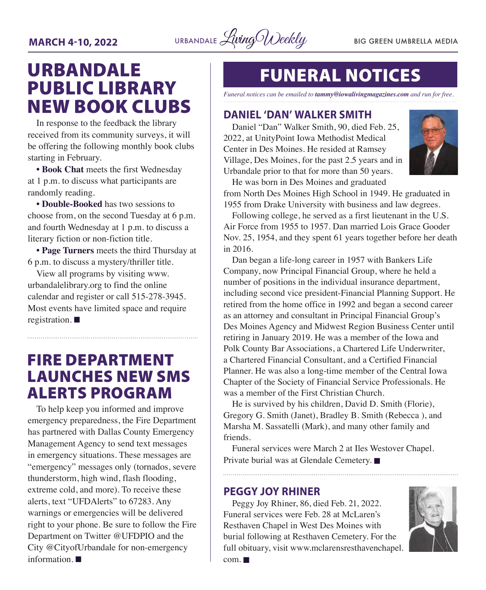

## URBANDALE PUBLIC LIBRARY NEW BOOK CLUBS

In response to the feedback the library received from its community surveys, it will be offering the following monthly book clubs starting in February.

**• Book Chat** meets the first Wednesday at 1 p.m. to discuss what participants are randomly reading.

**• Double-Booked** has two sessions to choose from, on the second Tuesday at 6 p.m. and fourth Wednesday at 1 p.m. to discuss a literary fiction or non-fiction title.

**• Page Turners** meets the third Thursday at 6 p.m. to discuss a mystery/thriller title.

View all programs by visiting [www.](http://www.urbandalelibrary.org) [urbandalelibrary.org](http://www.urbandalelibrary.org) to find the online calendar and register or call 515-278-3945. Most events have limited space and require registration.  $\blacksquare$ 

### FIRE DEPARTMENT LAUNCHES NEW SMS ALERTS PROGRAM

To help keep you informed and improve emergency preparedness, the Fire Department has partnered with Dallas County Emergency Management Agency to send text messages in emergency situations. These messages are "emergency" messages only (tornados, severe thunderstorm, high wind, flash flooding, extreme cold, and more). To receive these alerts, text "UFDAlerts" to 67283. Any warnings or emergencies will be delivered right to your phone. Be sure to follow the Fire Department on Twitter @UFDPIO and the City @CityofUrbandale for non-emergency information.  $\blacksquare$ 

## FUNERAL NOTICES

*Funeral notices can be emailed to tammy@iowalivingmagazines.com and run for free.*

#### **DANIEL 'DAN' WALKER SMITH**

Daniel "Dan" Walker Smith, 90, died Feb. 25, 2022, at UnityPoint Iowa Methodist Medical Center in Des Moines. He resided at Ramsey Village, Des Moines, for the past 2.5 years and in Urbandale prior to that for more than 50 years. He was born in Des Moines and graduated



from North Des Moines High School in 1949. He graduated in 1955 from Drake University with business and law degrees.

Following college, he served as a first lieutenant in the U.S. Air Force from 1955 to 1957. Dan married Lois Grace Gooder Nov. 25, 1954, and they spent 61 years together before her death in 2016.

Dan began a life-long career in 1957 with Bankers Life Company, now Principal Financial Group, where he held a number of positions in the individual insurance department, including second vice president-Financial Planning Support. He retired from the home office in 1992 and began a second career as an attorney and consultant in Principal Financial Group's Des Moines Agency and Midwest Region Business Center until retiring in January 2019. He was a member of the Iowa and Polk County Bar Associations, a Chartered Life Underwriter, a Chartered Financial Consultant, and a Certified Financial Planner. He was also a long-time member of the Central Iowa Chapter of the Society of Financial Service Professionals. He was a member of the First Christian Church.

He is survived by his children, David D. Smith (Florie), Gregory G. Smith (Janet), Bradley B. Smith (Rebecca ), and Marsha M. Sassatelli (Mark), and many other family and friends.

Funeral services were March 2 at Iles Westover Chapel. Private burial was at Glendale Cemetery.

#### **PEGGY JOY RHINER**

Peggy Joy Rhiner, 86, died Feb. 21, 2022. Funeral services were Feb. 28 at McLaren's Resthaven Chapel in West Des Moines with burial following at Resthaven Cemetery. For the full obituary, visit [www.mclarensresthavenchapel.](http://www.mclarensresthavenchapel.com)



 $com. \blacksquare$  $com. \blacksquare$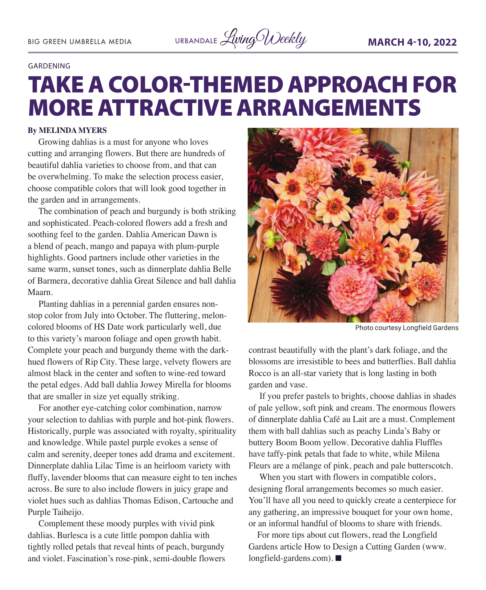

#### **GARDENING**

## TAKE A COLOR-THEMED APPROACH FOR MORE ATTRACTIVE ARRANGEMENTS

#### **By MELINDA MYERS**

Growing dahlias is a must for anyone who loves cutting and arranging flowers. But there are hundreds of beautiful dahlia varieties to choose from, and that can be overwhelming. To make the selection process easier, choose compatible colors that will look good together in the garden and in arrangements.

The combination of peach and burgundy is both striking and sophisticated. Peach-colored flowers add a fresh and soothing feel to the garden. Dahlia American Dawn is a blend of peach, mango and papaya with plum-purple highlights. Good partners include other varieties in the same warm, sunset tones, such as dinnerplate dahlia Belle of Barmera, decorative dahlia Great Silence and ball dahlia Maarn.

Planting dahlias in a perennial garden ensures nonstop color from July into October. The fluttering, meloncolored blooms of HS Date work particularly well, due to this variety's maroon foliage and open growth habit. Complete your peach and burgundy theme with the darkhued flowers of Rip City. These large, velvety flowers are almost black in the center and soften to wine-red toward the petal edges. Add ball dahlia Jowey Mirella for blooms that are smaller in size yet equally striking.

For another eye-catching color combination, narrow your selection to dahlias with purple and hot-pink flowers. Historically, purple was associated with royalty, spirituality and knowledge. While pastel purple evokes a sense of calm and serenity, deeper tones add drama and excitement. Dinnerplate dahlia Lilac Time is an heirloom variety with fluffy, lavender blooms that can measure eight to ten inches across. Be sure to also include flowers in juicy grape and violet hues such as dahlias Thomas Edison, Cartouche and Purple Taiheijo.

Complement these moody purples with vivid pink dahlias. Burlesca is a cute little pompon dahlia with tightly rolled petals that reveal hints of peach, burgundy and violet. Fascination's rose-pink, semi-double flowers



Photo courtesy Longfield Gardens

contrast beautifully with the plant's dark foliage, and the blossoms are irresistible to bees and butterflies. Ball dahlia Rocco is an all-star variety that is long lasting in both garden and vase.

If you prefer pastels to brights, choose dahlias in shades of pale yellow, soft pink and cream. The enormous flowers of dinnerplate dahlia Café au Lait are a must. Complement them with ball dahlias such as peachy Linda's Baby or buttery Boom Boom yellow. Decorative dahlia Fluffles have taffy-pink petals that fade to white, while Milena Fleurs are a mélange of pink, peach and pale butterscotch.

When you start with flowers in compatible colors, designing floral arrangements becomes so much easier. You'll have all you need to quickly create a centerpiece for any gathering, an impressive bouquet for your own home, or an informal handful of blooms to share with friends.

For more tips about cut flowers, read the Longfield Gardens article How to Design a Cutting Garden (www. longfield-gardens.com).  $\blacksquare$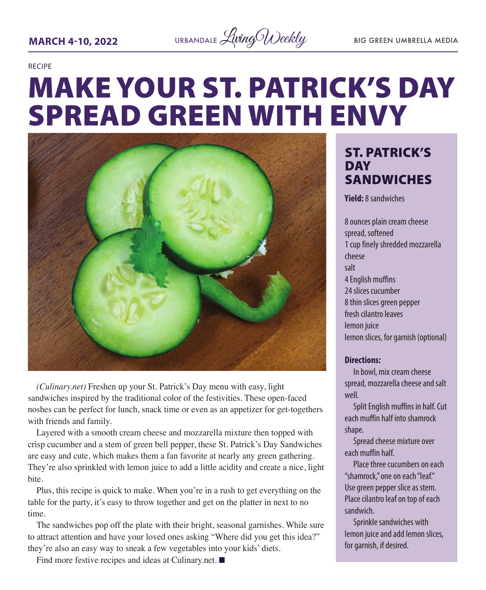

#### RECIPE

# MAKE YOUR ST. PATRICK'S DAY SPREAD GREEN WITH ENVY



*(Culinary.net)* Freshen up your St. Patrick's Day menu with easy, light sandwiches inspired by the traditional color of the festivities. These open-faced noshes can be perfect for lunch, snack time or even as an appetizer for get-togethers with friends and family.

Layered with a smooth cream cheese and mozzarella mixture then topped with crisp cucumber and a stem of green bell pepper, these St. Patrick's Day Sandwiches are easy and cute, which makes them a fan favorite at nearly any green gathering. They're also sprinkled with lemon juice to add a little acidity and create a nice, light bite.

Plus, this recipe is quick to make. When you're in a rush to get everything on the table for the party, it's easy to throw together and get on the platter in next to no time.

The sandwiches pop off the plate with their bright, seasonal garnishes. While sure to attract attention and have your loved ones asking "Where did you get this idea?" they're also an easy way to sneak a few vegetables into your kids' diets.

Find more festive recipes and ideas at Culinary.net.  $\blacksquare$ 

### ST. PATRICK'S DAY SANDWICHES

**Yield:** 8 sandwiches

8 ounces plain cream cheese spread, softened 1 cup finely shredded mozzarella cheese salt 4 English muffins 24 slices cucumber 8 thin slices green pepper fresh cilantro leaves lemon juice lemon slices, for garnish (optional)

#### **Directions:**

In bowl, mix cream cheese spread, mozzarella cheese and salt well.

Split English muffins in half. Cut each muffin half into shamrock shape.

Spread cheese mixture over each muffin half.

Place three cucumbers on each "shamrock," one on each "leaf." Use green pepper slice as stem. Place cilantro leaf on top of each sandwich.

Sprinkle sandwiches with lemon juice and add lemon slices, for garnish, if desired.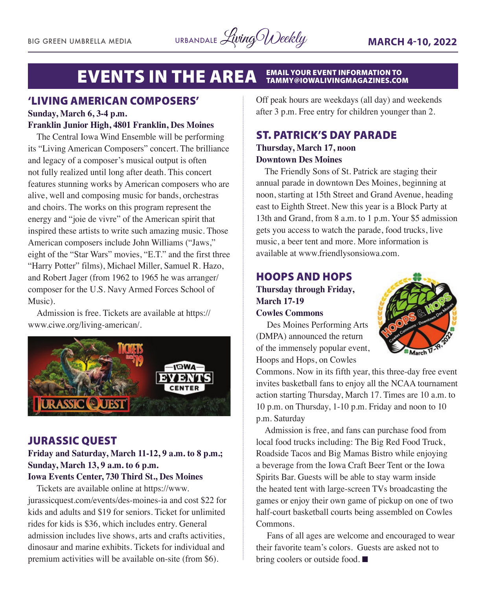#### EVENTS IN THE AREA FAMAL YOUR EVENT INFORMATION TO TAMMY@IOWALIVINGMAGAZINES.COM

### 'LIVING AMERICAN COMPOSERS'

#### **Sunday, March 6, 3-4 p.m. Franklin Junior High, 4801 Franklin, Des Moines**

The Central Iowa Wind Ensemble will be performing its "Living American Composers" concert. The brilliance and legacy of a composer's musical output is often not fully realized until long after death. This concert features stunning works by American composers who are alive, well and composing music for bands, orchestras and choirs. The works on this program represent the energy and "joie de vivre" of the American spirit that inspired these artists to write such amazing music. Those American composers include John Williams ("Jaws," eight of the "Star Wars" movies, "E.T." and the first three "Harry Potter" films), Michael Miller, Samuel R. Hazo, and Robert Jager (from 1962 to 1965 he was arranger/ composer for the U.S. Navy Armed Forces School of Music).

Admission is free. Tickets are available at https:// www.ciwe.org/living-american/.



#### JURASSIC QUEST

#### **Friday and Saturday, March 11-12, 9 a.m. to 8 p.m.; Sunday, March 13, 9 a.m. to 6 p.m.**

#### **Iowa Events Center, 730 Third St., Des Moines**

Tickets are available online at https://www. jurassicquest.com/events/des-moines-ia and cost \$22 for kids and adults and \$19 for seniors. Ticket for unlimited rides for kids is \$36, which includes entry. General admission includes live shows, arts and crafts activities, dinosaur and marine exhibits. Tickets for individual and premium activities will be available on-site (from \$6).

Off peak hours are weekdays (all day) and weekends after 3 p.m. Free entry for children younger than 2.

#### ST. PATRICK'S DAY PARADE **Thursday, March 17, noon**

#### **Downtown Des Moines**

The Friendly Sons of St. Patrick are staging their annual parade in downtown Des Moines, beginning at noon, starting at 15th Street and Grand Avenue, heading east to Eighth Street. New this year is a Block Party at 13th and Grand, from 8 a.m. to 1 p.m. Your \$5 admission gets you access to watch the parade, food trucks, live music, a beer tent and more. More information is available at www.friendlysonsiowa.com.

#### HOOPS AND HOPS **Thursday through Friday, March 17-19 Cowles Commons**



Des Moines Performing Arts (DMPA) announced the return of the immensely popular event, Hoops and Hops, on Cowles

Commons. Now in its fifth year, this three-day free event invites basketball fans to enjoy all the NCAA tournament action starting Thursday, March 17. Times are 10 a.m. to 10 p.m. on Thursday, 1-10 p.m. Friday and noon to 10 p.m. Saturday

Admission is free, and fans can purchase food from local food trucks including: The Big Red Food Truck, Roadside Tacos and Big Mamas Bistro while enjoying a beverage from the Iowa Craft Beer Tent or the Iowa Spirits Bar. Guests will be able to stay warm inside the heated tent with large-screen TVs broadcasting the games or enjoy their own game of pickup on one of two half-court basketball courts being assembled on Cowles Commons.

Fans of all ages are welcome and encouraged to wear their favorite team's colors. Guests are asked not to bring coolers or outside food.  $\blacksquare$